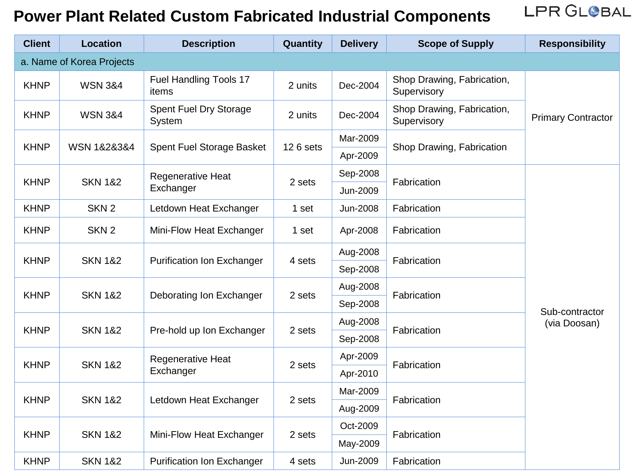LPR GLOBAL

| <b>Client</b> | <b>Location</b>                                                        | <b>Description</b>                                       | Quantity                | <b>Delivery</b> | <b>Scope of Supply</b>                    | <b>Responsibility</b>     |
|---------------|------------------------------------------------------------------------|----------------------------------------------------------|-------------------------|-----------------|-------------------------------------------|---------------------------|
|               | a. Name of Korea Projects                                              |                                                          |                         |                 |                                           |                           |
| <b>KHNP</b>   | <b>WSN 3&amp;4</b>                                                     | Fuel Handling Tools 17<br>items                          | 2 units                 | Dec-2004        | Shop Drawing, Fabrication,<br>Supervisory |                           |
| <b>KHNP</b>   | <b>WSN 3&amp;4</b>                                                     | Spent Fuel Dry Storage<br>System                         | 2 units                 | Dec-2004        | Shop Drawing, Fabrication,<br>Supervisory | <b>Primary Contractor</b> |
|               | WSN 1&2&3&4                                                            | Spent Fuel Storage Basket                                | 12 6 sets               | Mar-2009        | Shop Drawing, Fabrication                 |                           |
| <b>KHNP</b>   |                                                                        |                                                          |                         | Apr-2009        |                                           |                           |
| <b>KHNP</b>   |                                                                        | Regenerative Heat<br>Exchanger                           | 2 sets                  | Sep-2008        | Fabrication                               |                           |
|               | <b>SKN 1&amp;2</b>                                                     |                                                          |                         | Jun-2009        |                                           |                           |
| <b>KHNP</b>   | SKN <sub>2</sub>                                                       | Letdown Heat Exchanger                                   | 1 set                   | Jun-2008        | Fabrication                               |                           |
| <b>KHNP</b>   | SKN <sub>2</sub>                                                       | Mini-Flow Heat Exchanger                                 | 1 set                   | Apr-2008        | Fabrication                               |                           |
|               | <b>SKN 1&amp;2</b><br><b>KHNP</b><br><b>Purification Ion Exchanger</b> |                                                          |                         | Aug-2008        |                                           |                           |
|               |                                                                        | 4 sets                                                   | Fabrication<br>Sep-2008 |                 |                                           |                           |
| <b>KHNP</b>   |                                                                        | <b>SKN 1&amp;2</b><br>Deborating Ion Exchanger<br>2 sets |                         | Aug-2008        | Fabrication                               |                           |
|               |                                                                        |                                                          | Sep-2008                |                 | Sub-contractor                            |                           |
|               | <b>SKN 1&amp;2</b>                                                     |                                                          | 2 sets                  | Aug-2008        | Fabrication                               | (via Doosan)              |
| <b>KHNP</b>   |                                                                        | Pre-hold up Ion Exchanger                                |                         | Sep-2008        |                                           |                           |
| <b>KHNP</b>   | <b>SKN 1&amp;2</b>                                                     | <b>Regenerative Heat</b><br>Exchanger                    | 2 sets                  | Apr-2009        | Fabrication                               |                           |
|               |                                                                        |                                                          |                         | Apr-2010        |                                           |                           |
| <b>KHNP</b>   | <b>SKN 1&amp;2</b>                                                     | Letdown Heat Exchanger                                   | 2 sets                  | Mar-2009        | Fabrication                               |                           |
|               |                                                                        |                                                          |                         | Aug-2009        |                                           |                           |
| <b>KHNP</b>   | <b>SKN 1&amp;2</b>                                                     | Mini-Flow Heat Exchanger                                 | 2 sets                  | Oct-2009        | Fabrication                               |                           |
|               |                                                                        |                                                          |                         | May-2009        |                                           |                           |
| <b>KHNP</b>   | <b>SKN 1&amp;2</b>                                                     | <b>Purification Ion Exchanger</b>                        | 4 sets                  | Jun-2009        | Fabrication                               |                           |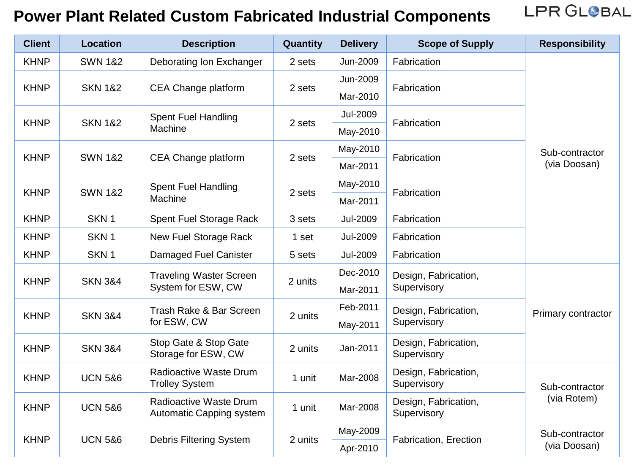| <b>Client</b> | <b>Location</b>    | <b>Description</b>                                   | Quantity | <b>Delivery</b> | <b>Scope of Supply</b>              | <b>Responsibility</b>          |
|---------------|--------------------|------------------------------------------------------|----------|-----------------|-------------------------------------|--------------------------------|
| <b>KHNP</b>   | <b>SWN 1&amp;2</b> | Deborating Ion Exchanger                             | 2 sets   | Jun-2009        | Fabrication                         |                                |
| <b>KHNP</b>   |                    | CEA Change platform                                  | 2 sets   | Jun-2009        | Fabrication                         | Sub-contractor<br>(via Doosan) |
|               | <b>SKN 1&amp;2</b> |                                                      |          | Mar-2010        |                                     |                                |
|               | <b>SKN 1&amp;2</b> | <b>Spent Fuel Handling</b><br>Machine                | 2 sets   | <b>Jul-2009</b> | Fabrication                         |                                |
| <b>KHNP</b>   |                    |                                                      |          | May-2010        |                                     |                                |
|               |                    |                                                      |          | May-2010        | Fabrication                         |                                |
| <b>KHNP</b>   | <b>SWN 1&amp;2</b> | CEA Change platform                                  | 2 sets   | Mar-2011        |                                     |                                |
|               |                    | <b>Spent Fuel Handling</b><br>Machine                | 2 sets   | May-2010        | Fabrication                         |                                |
| <b>KHNP</b>   | <b>SWN 1&amp;2</b> |                                                      |          | Mar-2011        |                                     |                                |
| <b>KHNP</b>   | SKN <sub>1</sub>   | Spent Fuel Storage Rack                              | 3 sets   | <b>Jul-2009</b> | Fabrication                         |                                |
| <b>KHNP</b>   | SKN <sub>1</sub>   | New Fuel Storage Rack                                | 1 set    | <b>Jul-2009</b> | Fabrication                         |                                |
| <b>KHNP</b>   | SKN <sub>1</sub>   | Damaged Fuel Canister                                | 5 sets   | <b>Jul-2009</b> | Fabrication                         |                                |
| <b>KHNP</b>   | <b>SKN 3&amp;4</b> | <b>Traveling Waster Screen</b><br>System for ESW, CW | 2 units  | Dec-2010        | Design, Fabrication,<br>Supervisory | Primary contractor             |
|               |                    |                                                      |          | Mar-2011        |                                     |                                |
| <b>KHNP</b>   | <b>SKN 3&amp;4</b> | Trash Rake & Bar Screen<br>for ESW, CW               | 2 units  | Feb-2011        | Design, Fabrication,<br>Supervisory |                                |
|               |                    |                                                      |          | May-2011        |                                     |                                |
| <b>KHNP</b>   | <b>SKN 3&amp;4</b> | Stop Gate & Stop Gate<br>Storage for ESW, CW         | 2 units  | Jan-2011        | Design, Fabrication,<br>Supervisory |                                |
| <b>KHNP</b>   | <b>UCN 5&amp;6</b> | Radioactive Waste Drum<br><b>Trolley System</b>      | 1 unit   | Mar-2008        | Design, Fabrication,<br>Supervisory | Sub-contractor                 |
| <b>KHNP</b>   | <b>UCN 5&amp;6</b> | Radioactive Waste Drum<br>Automatic Capping system   | 1 unit   | Mar-2008        | Design, Fabrication,<br>Supervisory | (via Rotem)                    |
| <b>KHNP</b>   | <b>UCN 5&amp;6</b> | Debris Filtering System                              | 2 units  | May-2009        | Fabrication, Erection               | Sub-contractor<br>(via Doosan) |
|               |                    |                                                      |          | Apr-2010        |                                     |                                |

LPR GLOBAL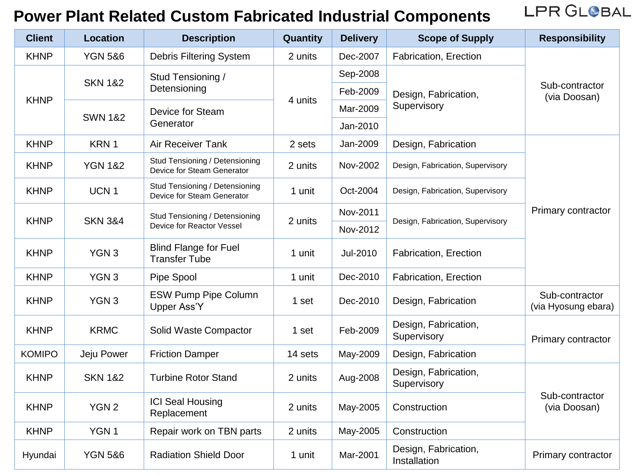LPR GLOBAL

| <b>Client</b> | <b>Location</b>    | <b>Description</b>                                           | Quantity | <b>Delivery</b> | <b>Scope of Supply</b>               | <b>Responsibility</b>                 |
|---------------|--------------------|--------------------------------------------------------------|----------|-----------------|--------------------------------------|---------------------------------------|
| <b>KHNP</b>   | <b>YGN 5&amp;6</b> | Debris Filtering System                                      | 2 units  | Dec-2007        | Fabrication, Erection                |                                       |
| <b>KHNP</b>   | <b>SKN 1&amp;2</b> | Stud Tensioning /<br>Detensioning                            | 4 units  | Sep-2008        | Design, Fabrication,<br>Supervisory  | Sub-contractor<br>(via Doosan)        |
|               |                    |                                                              |          | Feb-2009        |                                      |                                       |
|               | <b>SWN 1&amp;2</b> | Device for Steam<br>Generator                                |          | Mar-2009        |                                      |                                       |
|               |                    |                                                              |          | Jan-2010        |                                      |                                       |
| <b>KHNP</b>   | KRN 1              | <b>Air Receiver Tank</b>                                     | 2 sets   | Jan-2009        | Design, Fabrication                  |                                       |
| <b>KHNP</b>   | <b>YGN 1&amp;2</b> | Stud Tensioning / Detensioning<br>Device for Steam Generator | 2 units  | Nov-2002        | Design, Fabrication, Supervisory     | Primary contractor                    |
| <b>KHNP</b>   | UCN <sub>1</sub>   | Stud Tensioning / Detensioning<br>Device for Steam Generator | 1 unit   | Oct-2004        | Design, Fabrication, Supervisory     |                                       |
| <b>KHNP</b>   |                    | Stud Tensioning / Detensioning                               | 2 units  | Nov-2011        | Design, Fabrication, Supervisory     |                                       |
|               | <b>SKN 3&amp;4</b> | Device for Reactor Vessel                                    |          | Nov-2012        |                                      |                                       |
| <b>KHNP</b>   | YGN <sub>3</sub>   | <b>Blind Flange for Fuel</b><br><b>Transfer Tube</b>         | 1 unit   | Jul-2010        | Fabrication, Erection                |                                       |
| <b>KHNP</b>   | YGN <sub>3</sub>   | Pipe Spool                                                   | 1 unit   | Dec-2010        | Fabrication, Erection                |                                       |
| <b>KHNP</b>   | YGN <sub>3</sub>   | <b>ESW Pump Pipe Column</b><br>Upper Ass'Y                   | 1 set    | Dec-2010        | Design, Fabrication                  | Sub-contractor<br>(via Hyosung ebara) |
| <b>KHNP</b>   | <b>KRMC</b>        | Solid Waste Compactor                                        | 1 set    | Feb-2009        | Design, Fabrication,<br>Supervisory  | Primary contractor                    |
| <b>KOMIPO</b> | Jeju Power         | <b>Friction Damper</b>                                       | 14 sets  | May-2009        | Design, Fabrication                  |                                       |
| <b>KHNP</b>   | <b>SKN 1&amp;2</b> | <b>Turbine Rotor Stand</b>                                   | 2 units  | Aug-2008        | Design, Fabrication,<br>Supervisory  | Sub-contractor<br>(via Doosan)        |
| <b>KHNP</b>   | YGN <sub>2</sub>   | <b>ICI Seal Housing</b><br>Replacement                       | 2 units  | May-2005        | Construction                         |                                       |
| <b>KHNP</b>   | YGN <sub>1</sub>   | Repair work on TBN parts                                     | 2 units  | May-2005        | Construction                         |                                       |
| Hyundai       | <b>YGN 5&amp;6</b> | <b>Radiation Shield Door</b>                                 | 1 unit   | Mar-2001        | Design, Fabrication,<br>Installation | Primary contractor                    |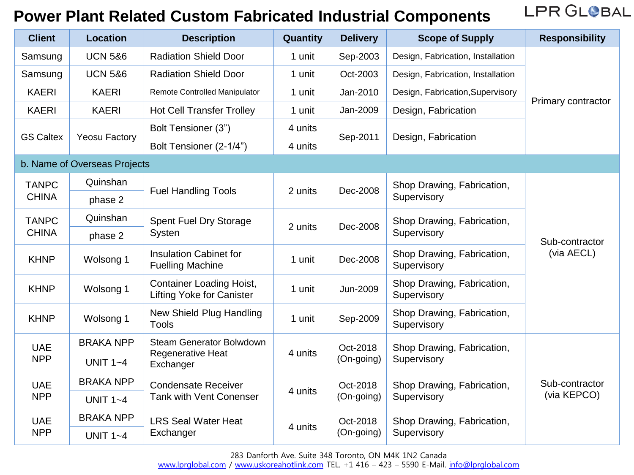LPR GLOBAL

| <b>Client</b>                | <b>Location</b>              | <b>Description</b>                                                  | Quantity                          | <b>Delivery</b>            | <b>Scope of Supply</b>                    | <b>Responsibility</b>         |
|------------------------------|------------------------------|---------------------------------------------------------------------|-----------------------------------|----------------------------|-------------------------------------------|-------------------------------|
| Samsung                      | <b>UCN 5&amp;6</b>           | <b>Radiation Shield Door</b>                                        | 1 unit                            | Sep-2003                   | Design, Fabrication, Installation         |                               |
| Samsung                      | <b>UCN 5&amp;6</b>           | <b>Radiation Shield Door</b>                                        | 1 unit                            | Oct-2003                   | Design, Fabrication, Installation         | Primary contractor            |
| <b>KAERI</b>                 | <b>KAERI</b>                 | Remote Controlled Manipulator                                       | 1 unit                            | Jan-2010                   | Design, Fabrication, Supervisory          |                               |
| <b>KAERI</b>                 | <b>KAERI</b>                 | <b>Hot Cell Transfer Trolley</b>                                    | 1 unit                            | Jan-2009                   | Design, Fabrication                       |                               |
|                              | <b>Yeosu Factory</b>         | Bolt Tensioner (3")                                                 | 4 units                           | Sep-2011                   | Design, Fabrication                       |                               |
| <b>GS Caltex</b>             |                              | Bolt Tensioner (2-1/4")                                             | 4 units                           |                            |                                           |                               |
|                              | b. Name of Overseas Projects |                                                                     |                                   |                            |                                           |                               |
| <b>TANPC</b>                 | Quinshan                     | <b>Fuel Handling Tools</b>                                          |                                   | 2 units<br>Dec-2008        | Shop Drawing, Fabrication,<br>Supervisory |                               |
| <b>CHINA</b>                 | phase 2                      |                                                                     |                                   |                            |                                           |                               |
| <b>TANPC</b><br><b>CHINA</b> | Quinshan                     | Spent Fuel Dry Storage<br>Systen                                    | 2 units                           | Shop Drawing, Fabrication, |                                           |                               |
|                              | phase 2                      |                                                                     |                                   | Dec-2008                   | Supervisory                               | Sub-contractor                |
| <b>KHNP</b>                  | Wolsong 1                    | <b>Insulation Cabinet for</b><br><b>Fuelling Machine</b>            | 1 unit                            | Dec-2008                   | Shop Drawing, Fabrication,<br>Supervisory | (via AECL)                    |
| <b>KHNP</b>                  | Wolsong 1                    | <b>Container Loading Hoist,</b><br><b>Lifting Yoke for Canister</b> | 1 unit                            | Jun-2009                   | Shop Drawing, Fabrication,<br>Supervisory |                               |
| <b>KHNP</b>                  | Wolsong 1                    | New Shield Plug Handling<br><b>Tools</b>                            | 1 unit                            | Sep-2009                   | Shop Drawing, Fabrication,<br>Supervisory |                               |
| <b>UAE</b><br><b>NPP</b>     | <b>BRAKA NPP</b>             | <b>Steam Generator Bolwdown</b><br>Regenerative Heat<br>Exchanger   | Oct-2018<br>4 units<br>(On-going) |                            | Shop Drawing, Fabrication,                |                               |
|                              | UNIT $1 - 4$                 |                                                                     |                                   | Supervisory                |                                           |                               |
| <b>UAE</b><br><b>NPP</b>     | <b>BRAKA NPP</b>             | <b>Condensate Receiver</b><br><b>Tank with Vent Conenser</b>        |                                   | Oct-2018                   | Shop Drawing, Fabrication,                | Sub-contractor<br>(via KEPCO) |
|                              | UNIT $1 - 4$                 |                                                                     | 4 units                           | (On-going)                 | Supervisory                               |                               |
| <b>UAE</b><br><b>NPP</b>     | <b>BRAKA NPP</b>             | <b>LRS Seal Water Heat</b>                                          | Oct-2018                          | Shop Drawing, Fabrication, |                                           |                               |
|                              |                              | UNIT $1 - 4$                                                        | Exchanger                         | 4 units                    | (On-going)                                | Supervisory                   |

283 Danforth Ave. Suite 348 Toronto, ON M4K 1N2 Canada

[www.lprglobal.com](http://www.lprglobal.com/) / [www.uskoreahotlink.com](http://www.uskoreahotlink.com/) TEL. +1 416 - 423 - 5590 E-Mail. [info@lprglobal.com](mailto:info@lprglobal.com)